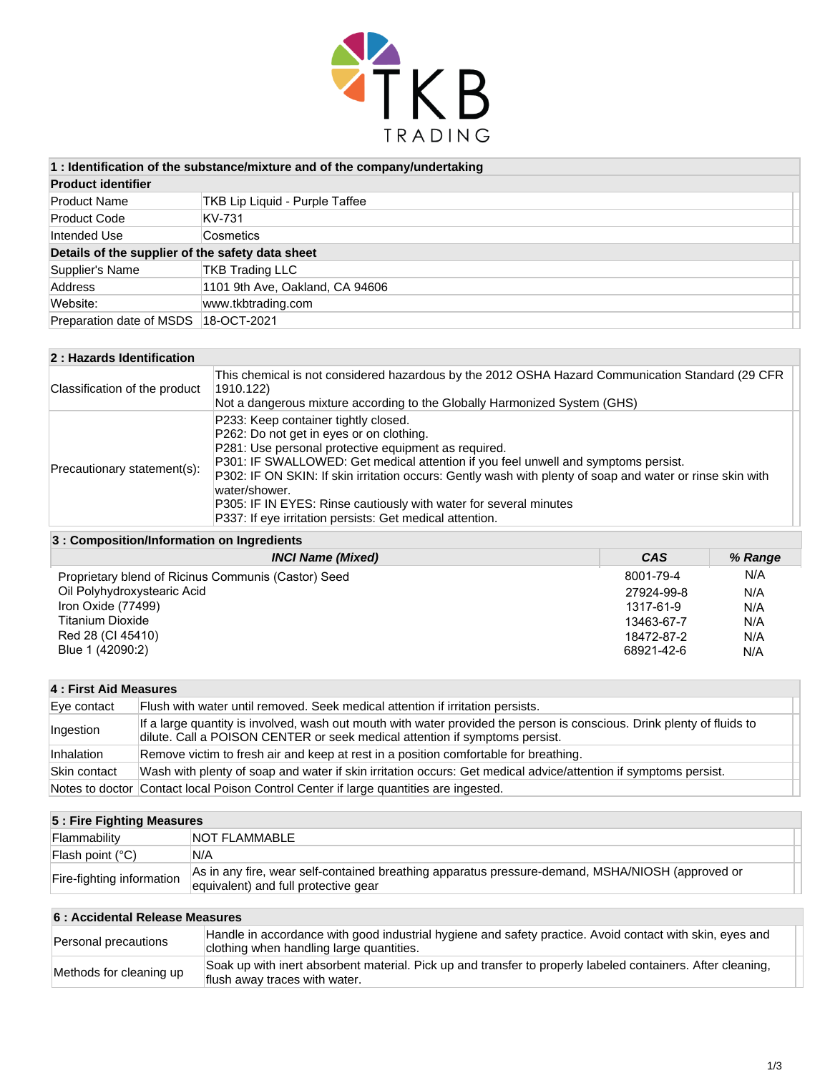

| 1 : Identification of the substance/mixture and of the company/undertaking |  |  |
|----------------------------------------------------------------------------|--|--|
|----------------------------------------------------------------------------|--|--|

| <b>Product identifier</b>                        |                                 |  |
|--------------------------------------------------|---------------------------------|--|
| <b>Product Name</b>                              | TKB Lip Liquid - Purple Taffee  |  |
| <b>Product Code</b>                              | KV-731                          |  |
| Intended Use                                     | Cosmetics                       |  |
| Details of the supplier of the safety data sheet |                                 |  |
| Supplier's Name                                  | <b>TKB Trading LLC</b>          |  |
| Address                                          | 1101 9th Ave, Oakland, CA 94606 |  |
| Website:                                         | www.tkbtrading.com              |  |
| Preparation date of MSDS 18-OCT-2021             |                                 |  |

| 2: Hazards Identification     |                                                                                                                                                                                                                                                                                                                                                                                                                                                                                               |  |
|-------------------------------|-----------------------------------------------------------------------------------------------------------------------------------------------------------------------------------------------------------------------------------------------------------------------------------------------------------------------------------------------------------------------------------------------------------------------------------------------------------------------------------------------|--|
| Classification of the product | This chemical is not considered hazardous by the 2012 OSHA Hazard Communication Standard (29 CFR<br>1910.122)<br>Not a dangerous mixture according to the Globally Harmonized System (GHS)                                                                                                                                                                                                                                                                                                    |  |
| Precautionary statement(s):   | P233: Keep container tightly closed.<br>P262: Do not get in eyes or on clothing.<br>P281: Use personal protective equipment as required.<br>P301: IF SWALLOWED: Get medical attention if you feel unwell and symptoms persist.<br>P302: IF ON SKIN: If skin irritation occurs: Gently wash with plenty of soap and water or rinse skin with<br>water/shower.<br>P305: IF IN EYES: Rinse cautiously with water for several minutes<br>P337: If eye irritation persists: Get medical attention. |  |

### **3 : Composition/Information on Ingredients**

| <b>INCI Name (Mixed)</b>                            | CAS        | % Range |
|-----------------------------------------------------|------------|---------|
| Proprietary blend of Ricinus Communis (Castor) Seed | 8001-79-4  | N/A     |
| Oil Polyhydroxystearic Acid                         | 27924-99-8 | N/A     |
| Iron Oxide (77499)                                  | 1317-61-9  | N/A     |
| <b>Titanium Dioxide</b>                             | 13463-67-7 | N/A     |
| Red 28 (CI 45410)                                   | 18472-87-2 | N/A     |
| Blue 1 (42090:2)                                    | 68921-42-6 | N/A     |

# **4 : First Aid Measures**

| Eve contact  | Flush with water until removed. Seek medical attention if irritation persists.                                                                                                                        |  |
|--------------|-------------------------------------------------------------------------------------------------------------------------------------------------------------------------------------------------------|--|
| Ingestion    | If a large quantity is involved, wash out mouth with water provided the person is conscious. Drink plenty of fluids to<br>dilute. Call a POISON CENTER or seek medical attention if symptoms persist. |  |
| Inhalation   | Remove victim to fresh air and keep at rest in a position comfortable for breathing.                                                                                                                  |  |
| Skin contact | Wash with plenty of soap and water if skin irritation occurs: Get medical advice/attention if symptoms persist.                                                                                       |  |
|              | Notes to doctor Contact local Poison Control Center if large quantities are ingested.                                                                                                                 |  |

| 5 : Fire Fighting Measures |                                                                                                                                          |  |
|----------------------------|------------------------------------------------------------------------------------------------------------------------------------------|--|
| Flammability               | <b>NOT FLAMMABLE</b>                                                                                                                     |  |
| Flash point (°C)           | N/A                                                                                                                                      |  |
| Fire-fighting information  | As in any fire, wear self-contained breathing apparatus pressure-demand, MSHA/NIOSH (approved or<br>equivalent) and full protective gear |  |

## **6 : Accidental Release Measures**

| Personal precautions    | Handle in accordance with good industrial hygiene and safety practice. Avoid contact with skin, eyes and<br>clothing when handling large quantities. |
|-------------------------|------------------------------------------------------------------------------------------------------------------------------------------------------|
| Methods for cleaning up | Soak up with inert absorbent material. Pick up and transfer to properly labeled containers. After cleaning,<br>flush away traces with water.         |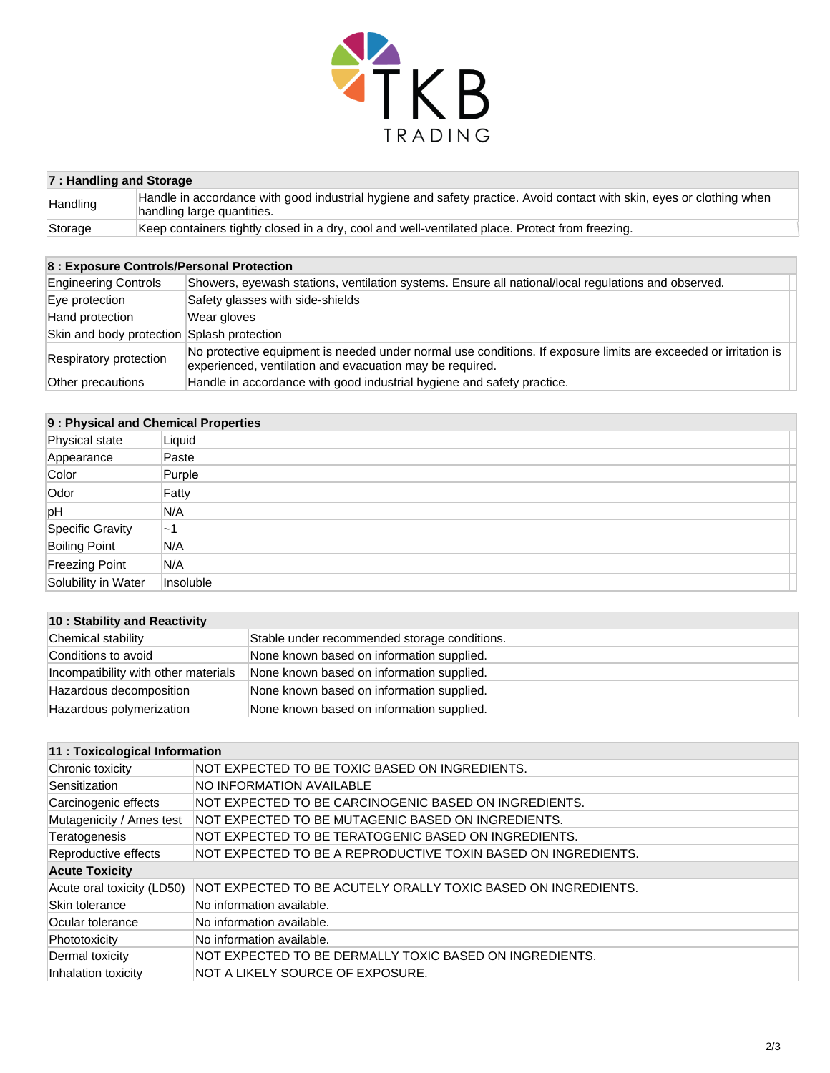

| 7: Handling and Storage |                                                                                                                                                     |  |
|-------------------------|-----------------------------------------------------------------------------------------------------------------------------------------------------|--|
| Handling                | Handle in accordance with good industrial hygiene and safety practice. Avoid contact with skin, eyes or clothing when<br>handling large quantities. |  |
| Storage                 | Keep containers tightly closed in a dry, cool and well-ventilated place. Protect from freezing.                                                     |  |

# **8 : Exposure Controls/Personal Protection**

| <b>Engineering Controls</b>                                                                                                                                                                           | Showers, eyewash stations, ventilation systems. Ensure all national/local regulations and observed. |
|-------------------------------------------------------------------------------------------------------------------------------------------------------------------------------------------------------|-----------------------------------------------------------------------------------------------------|
| Eye protection                                                                                                                                                                                        | Safety glasses with side-shields                                                                    |
| Hand protection                                                                                                                                                                                       | Wear gloves                                                                                         |
| Skin and body protection Splash protection                                                                                                                                                            |                                                                                                     |
| No protective equipment is needed under normal use conditions. If exposure limits are exceeded or irritation is<br>Respiratory protection<br>experienced, ventilation and evacuation may be required. |                                                                                                     |
| Handle in accordance with good industrial hygiene and safety practice.<br>Other precautions                                                                                                           |                                                                                                     |

| 9 : Physical and Chemical Properties |           |  |
|--------------------------------------|-----------|--|
| Physical state                       | Liquid    |  |
| Appearance                           | Paste     |  |
| Color                                | Purple    |  |
| Odor                                 | Fatty     |  |
| pH                                   | N/A       |  |
| Specific Gravity                     | $\sim$ 1  |  |
| <b>Boiling Point</b>                 | N/A       |  |
| Freezing Point                       | N/A       |  |
| Solubility in Water                  | Insoluble |  |

| 10 : Stability and Reactivity        |                                              |  |
|--------------------------------------|----------------------------------------------|--|
| Chemical stability                   | Stable under recommended storage conditions. |  |
| Conditions to avoid                  | None known based on information supplied.    |  |
| Incompatibility with other materials | None known based on information supplied.    |  |
| Hazardous decomposition              | None known based on information supplied.    |  |
| Hazardous polymerization             | None known based on information supplied.    |  |

#### **11 : Toxicological Information**

| Chronic toxicity           | NOT EXPECTED TO BE TOXIC BASED ON INGREDIENTS.                |
|----------------------------|---------------------------------------------------------------|
| Sensitization              | <b>NO INFORMATION AVAILABLE</b>                               |
| Carcinogenic effects       | NOT EXPECTED TO BE CARCINOGENIC BASED ON INGREDIENTS.         |
| Mutagenicity / Ames test   | INOT EXPECTED TO BE MUTAGENIC BASED ON INGREDIENTS.           |
| Teratogenesis              | NOT EXPECTED TO BE TERATOGENIC BASED ON INGREDIENTS.          |
| Reproductive effects       | NOT EXPECTED TO BE A REPRODUCTIVE TOXIN BASED ON INGREDIENTS. |
| <b>Acute Toxicity</b>      |                                                               |
| Acute oral toxicity (LD50) | NOT EXPECTED TO BE ACUTELY ORALLY TOXIC BASED ON INGREDIENTS. |
| Skin tolerance             | No information available.                                     |
| Ocular tolerance           | No information available.                                     |
| Phototoxicity              | No information available.                                     |
| Dermal toxicity            | NOT EXPECTED TO BE DERMALLY TOXIC BASED ON INGREDIENTS.       |
| Inhalation toxicity        | NOT A LIKELY SOURCE OF EXPOSURE.                              |